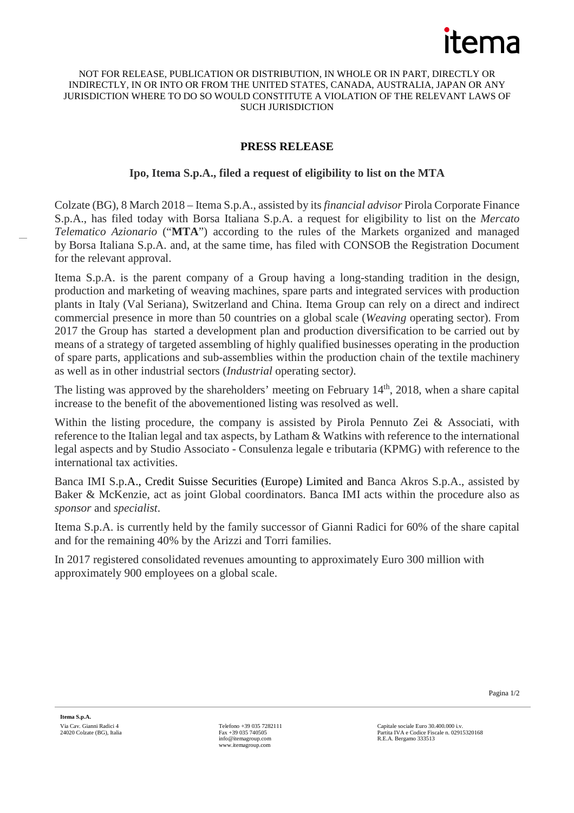

## NOT FOR RELEASE, PUBLICATION OR DISTRIBUTION, IN WHOLE OR IN PART, DIRECTLY OR INDIRECTLY, IN OR INTO OR FROM THE UNITED STATES, CANADA, AUSTRALIA, JAPAN OR ANY JURISDICTION WHERE TO DO SO WOULD CONSTITUTE A VIOLATION OF THE RELEVANT LAWS OF SUCH JURISDICTION

## **PRESS RELEASE**

## **Ipo, Itema S.p.A., filed a request of eligibility to list on the MTA**

Colzate (BG), 8 March 2018 – Itema S.p.A., assisted by its *financial advisor* Pirola Corporate Finance S.p.A., has filed today with Borsa Italiana S.p.A. a request for eligibility to list on the *Mercato Telematico Azionario* ("**MTA**") according to the rules of the Markets organized and managed by Borsa Italiana S.p.A. and, at the same time, has filed with CONSOB the Registration Document for the relevant approval.

Itema S.p.A. is the parent company of a Group having a long-standing tradition in the design, production and marketing of weaving machines, spare parts and integrated services with production plants in Italy (Val Seriana), Switzerland and China. Itema Group can rely on a direct and indirect commercial presence in more than 50 countries on a global scale (*Weaving* operating sector). From 2017 the Group has started a development plan and production diversification to be carried out by means of a strategy of targeted assembling of highly qualified businesses operating in the production of spare parts, applications and sub-assemblies within the production chain of the textile machinery as well as in other industrial sectors (*Industrial* operating sector*)*.

The listing was approved by the shareholders' meeting on February  $14<sup>th</sup>$ , 2018, when a share capital increase to the benefit of the abovementioned listing was resolved as well.

Within the listing procedure, the company is assisted by Pirola Pennuto Zei & Associati, with reference to the Italian legal and tax aspects, by Latham & Watkins with reference to the international legal aspects and by Studio Associato - Consulenza legale e tributaria (KPMG) with reference to the international tax activities.

Banca IMI S.p.A., Credit Suisse Securities (Europe) Limited and Banca Akros S.p.A., assisted by Baker & McKenzie, act as joint Global coordinators. Banca IMI acts within the procedure also as *sponsor* and *specialist*.

Itema S.p.A. is currently held by the family successor of Gianni Radici for 60% of the share capital and for the remaining 40% by the Arizzi and Torri families.

In 2017 registered consolidated revenues amounting to approximately Euro 300 million with approximately 900 employees on a global scale.

Pagina 1/2

**Itema S.p.A.** Via Cav. Gianni Radici 4 24020 Colzate (BG), Italia

Telefono +39 035 7282111 Fax +39 035 740505 info@itemagroup.com www.itemagroup.com

Capitale sociale Euro 30.400.000 i.v. Partita IVA e Codice Fiscale n. 02915320168 R.E.A. Bergamo 333513